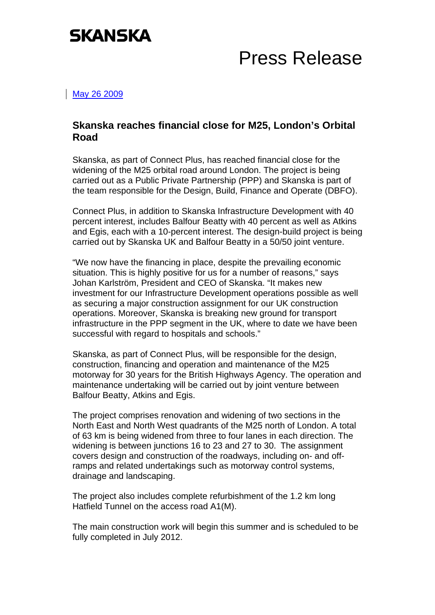

## Press Release

May 26 2009

## **Skanska reaches financial close for M25, London's Orbital Road**

Skanska, as part of Connect Plus, has reached financial close for the widening of the M25 orbital road around London. The project is being carried out as a Public Private Partnership (PPP) and Skanska is part of the team responsible for the Design, Build, Finance and Operate (DBFO).

Connect Plus, in addition to Skanska Infrastructure Development with 40 percent interest, includes Balfour Beatty with 40 percent as well as Atkins and Egis, each with a 10-percent interest. The design-build project is being carried out by Skanska UK and Balfour Beatty in a 50/50 joint venture.

"We now have the financing in place, despite the prevailing economic situation. This is highly positive for us for a number of reasons," says Johan Karlström, President and CEO of Skanska. "It makes new investment for our Infrastructure Development operations possible as well as securing a major construction assignment for our UK construction operations. Moreover, Skanska is breaking new ground for transport infrastructure in the PPP segment in the UK, where to date we have been successful with regard to hospitals and schools."

Skanska, as part of Connect Plus, will be responsible for the design, construction, financing and operation and maintenance of the M25 motorway for 30 years for the British Highways Agency. The operation and maintenance undertaking will be carried out by joint venture between Balfour Beatty, Atkins and Egis.

The project comprises renovation and widening of two sections in the North East and North West quadrants of the M25 north of London. A total of 63 km is being widened from three to four lanes in each direction. The widening is between junctions 16 to 23 and 27 to 30. The assignment covers design and construction of the roadways, including on- and offramps and related undertakings such as motorway control systems, drainage and landscaping.

The project also includes complete refurbishment of the 1.2 km long Hatfield Tunnel on the access road A1(M).

The main construction work will begin this summer and is scheduled to be fully completed in July 2012.